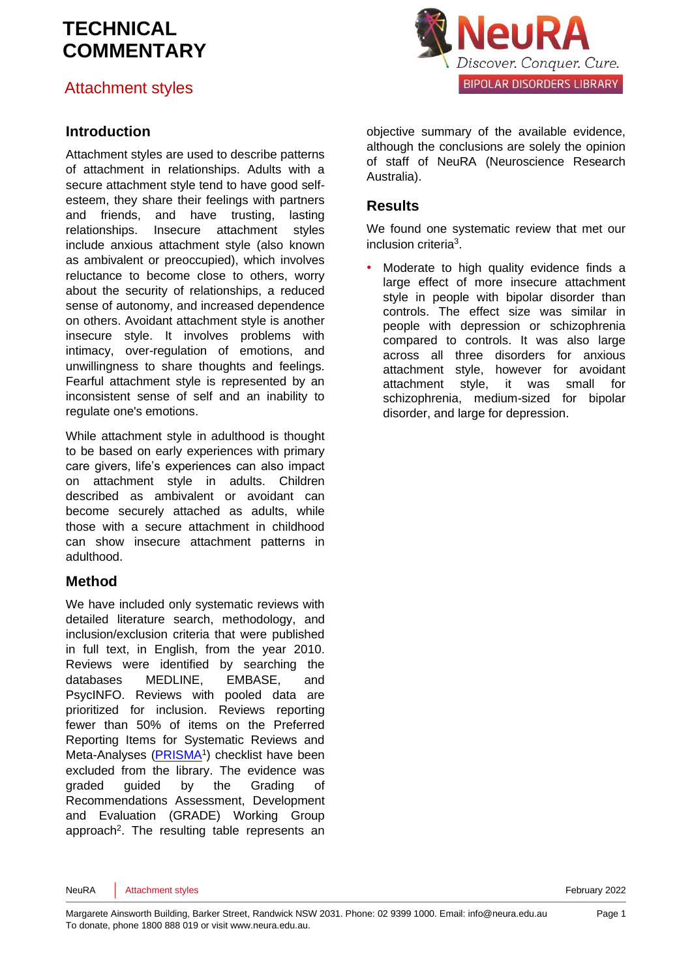# Attachment styles

### **Introduction**

Attachment styles are used to describe patterns of attachment in relationships. Adults with a secure attachment style tend to have good selfesteem, they share their feelings with partners and friends, and have trusting, lasting relationships. Insecure attachment styles include anxious attachment style (also known as ambivalent or preoccupied), which involves reluctance to become close to others, worry about the security of relationships, a reduced sense of autonomy, and increased dependence on others. Avoidant attachment style is another insecure style. It involves problems with intimacy, over-regulation of emotions, and unwillingness to share thoughts and feelings. Fearful attachment style is represented by an inconsistent sense of self and an inability to regulate one's emotions.

While attachment style in adulthood is thought to be based on early experiences with primary care givers, life's experiences can also impact on attachment style in adults. Children described as ambivalent or avoidant can become securely attached as adults, while those with a secure attachment in childhood can show insecure attachment patterns in adulthood.

#### **Method**

We have included only systematic reviews with detailed literature search, methodology, and inclusion/exclusion criteria that were published in full text, in English, from the year 2010. Reviews were identified by searching the databases MEDLINE, EMBASE, and PsycINFO. Reviews with pooled data are prioritized for inclusion. Reviews reporting fewer than 50% of items on the Preferred Reporting Items for Systematic Reviews and Meta-Analyses [\(PRISMA](http://www.prisma-statement.org/)<sup>[1](#page-5-0)</sup>) checklist have been excluded from the library. The evidence was graded guided by the Grading of Recommendations Assessment, Development and Evaluation [\(GRADE\)](http://www.gradeworkinggroup.org/) Working Group approach<sup>2</sup>[.](#page-5-1) The resulting table represents an



objective summary of the available evidence, although the conclusions are solely the opinion of staff of NeuRA (Neuroscience Research Australia).

#### **Results**

We found one systematic review that met our inclusion criteri[a](#page-5-2)<sup>3</sup>.

Moderate to high quality evidence finds a large effect of more insecure attachment style in people with bipolar disorder than controls. The effect size was similar in people with depression or schizophrenia compared to controls. It was also large across all three disorders for anxious attachment style, however for avoidant attachment style, it was small for schizophrenia, medium-sized for bipolar disorder, and large for depression.

NeuRA Attachment styles **Attachment styles** February 2022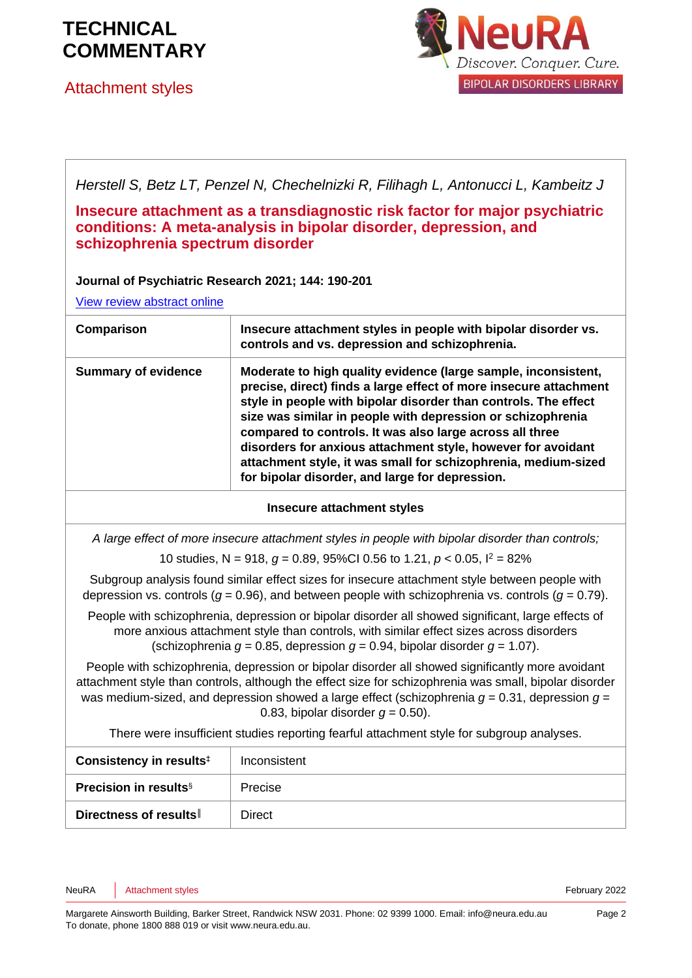

Attachment styles



*Herstell S, Betz LT, Penzel N, Chechelnizki R, Filihagh L, Antonucci L, Kambeitz J*

**Insecure attachment as a transdiagnostic risk factor for major psychiatric conditions: A meta-analysis in bipolar disorder, depression, and schizophrenia spectrum disorder** 

#### **Journal of Psychiatric Research 2021; 144: 190-201**

[View review abstract online](https://pubmed.ncbi.nlm.nih.gov/34678669/)

| Comparison                 | Insecure attachment styles in people with bipolar disorder vs.<br>controls and vs. depression and schizophrenia.                                                                                                                                                                                                                                                                                                                                                                                                       |
|----------------------------|------------------------------------------------------------------------------------------------------------------------------------------------------------------------------------------------------------------------------------------------------------------------------------------------------------------------------------------------------------------------------------------------------------------------------------------------------------------------------------------------------------------------|
| <b>Summary of evidence</b> | Moderate to high quality evidence (large sample, inconsistent,<br>precise, direct) finds a large effect of more insecure attachment<br>style in people with bipolar disorder than controls. The effect<br>size was similar in people with depression or schizophrenia<br>compared to controls. It was also large across all three<br>disorders for anxious attachment style, however for avoidant<br>attachment style, it was small for schizophrenia, medium-sized<br>for bipolar disorder, and large for depression. |

#### **Insecure attachment styles**

*A large effect of more insecure attachment styles in people with bipolar disorder than controls;*

10 studies, N = 918, *g* = 0.89, 95%CI 0.56 to 1.21, *p* < 0.05, I<sup>2</sup> = 82%

Subgroup analysis found similar effect sizes for insecure attachment style between people with depression vs. controls (*g* = 0.96), and between people with schizophrenia vs. controls (*g* = 0.79).

People with schizophrenia, depression or bipolar disorder all showed significant, large effects of more anxious attachment style than controls, with similar effect sizes across disorders (schizophrenia  $q = 0.85$ , depression  $q = 0.94$ , bipolar disorder  $q = 1.07$ ).

People with schizophrenia, depression or bipolar disorder all showed significantly more avoidant attachment style than controls, although the effect size for schizophrenia was small, bipolar disorder was medium-sized, and depression showed a large effect (schizophrenia *g* = 0.31, depression *g* = 0.83, bipolar disorder  $q = 0.50$ ).

There were insufficient studies reporting fearful attachment style for subgroup analyses.

| Consistency in results <sup>‡</sup>      | Inconsistent |
|------------------------------------------|--------------|
| <b>Precision in results</b> <sup>§</sup> | Precise      |
| Directness of results                    | Direct       |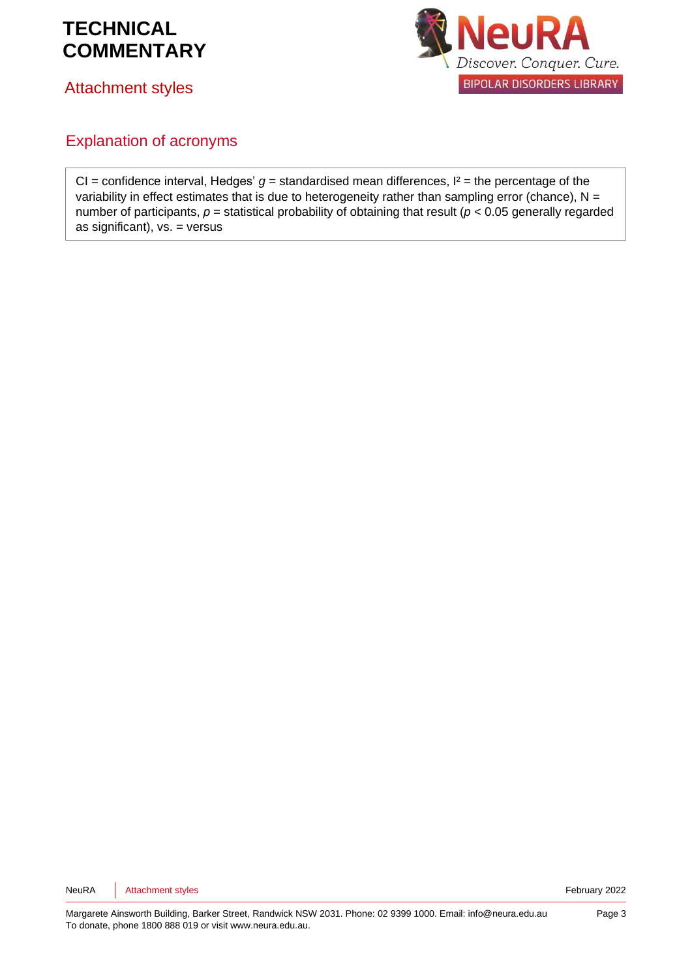



Attachment styles

### Explanation of acronyms

CI = confidence interval, Hedges'  $g$  = standardised mean differences,  $l^2$  = the percentage of the variability in effect estimates that is due to heterogeneity rather than sampling error (chance),  $N =$ number of participants, *p* = statistical probability of obtaining that result (*p* < 0.05 generally regarded as significant), vs. = versus

NeuRA Attachment styles **Attachment styles** February 2022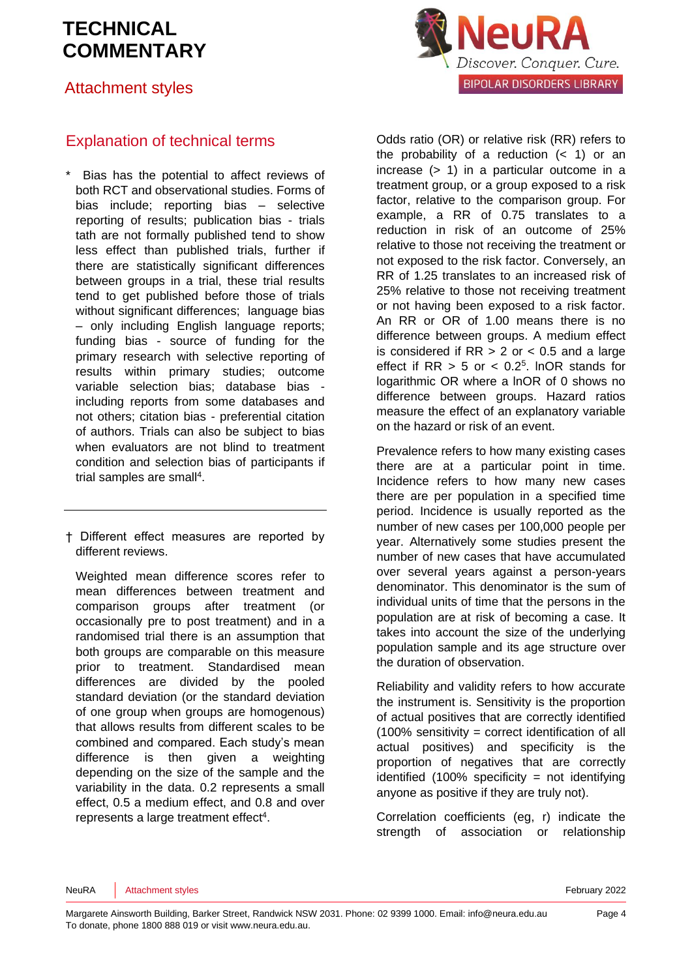## Attachment styles

## Explanation of technical terms

Bias has the potential to affect reviews of both RCT and observational studies. Forms of bias include; reporting bias – selective reporting of results; publication bias - trials tath are not formally published tend to show less effect than published trials, further if there are statistically significant differences between groups in a trial, these trial results tend to get published before those of trials without significant differences; language bias – only including English language reports; funding bias - source of funding for the primary research with selective reporting of results within primary studies; outcome variable selection bias; database bias including reports from some databases and not others; citation bias - preferential citation of authors. Trials can also be subject to bias when evaluators are not blind to treatment condition and selection bias of participants if trial samples are sma[ll](#page-5-3)<sup>4</sup>.

† Different effect measures are reported by different reviews.

Weighted mean difference scores refer to mean differences between treatment and comparison groups after treatment (or occasionally pre to post treatment) and in a randomised trial there is an assumption that both groups are comparable on this measure prior to treatment. Standardised mean differences are divided by the pooled standard deviation (or the standard deviation of one group when groups are homogenous) that allows results from different scales to be combined and compared. Each study's mean difference is then given a weighting depending on the size of the sample and the variability in the data. 0.2 represents a small effect, 0.5 a medium effect, and 0.8 and over represen[t](#page-5-3)s a large treatment effect<sup>4</sup>.



Odds ratio (OR) or relative risk (RR) refers to the probability of a reduction  $($   $<$  1) or an increase (> 1) in a particular outcome in a treatment group, or a group exposed to a risk factor, relative to the comparison group. For example, a RR of 0.75 translates to a reduction in risk of an outcome of 25% relative to those not receiving the treatment or not exposed to the risk factor. Conversely, an RR of 1.25 translates to an increased risk of 25% relative to those not receiving treatment or not having been exposed to a risk factor. An RR or OR of 1.00 means there is no difference between groups. A medium effect is considered if  $RR > 2$  or  $< 0.5$  and a large effect if  $RR > 5$  or  $< 0.2<sup>5</sup>$  $< 0.2<sup>5</sup>$  $< 0.2<sup>5</sup>$ . InOR stands for logarithmic OR where a lnOR of 0 shows no difference between groups. Hazard ratios measure the effect of an explanatory variable on the hazard or risk of an event.

Prevalence refers to how many existing cases there are at a particular point in time. Incidence refers to how many new cases there are per population in a specified time period. Incidence is usually reported as the number of new cases per 100,000 people per year. Alternatively some studies present the number of new cases that have accumulated over several years against a person-years denominator. This denominator is the sum of individual units of time that the persons in the population are at risk of becoming a case. It takes into account the size of the underlying population sample and its age structure over the duration of observation.

Reliability and validity refers to how accurate the instrument is. Sensitivity is the proportion of actual positives that are correctly identified (100% sensitivity = correct identification of all actual positives) and specificity is the proportion of negatives that are correctly identified  $(100\%$  specificity = not identifying anyone as positive if they are truly not).

Correlation coefficients (eg, r) indicate the strength of association or relationship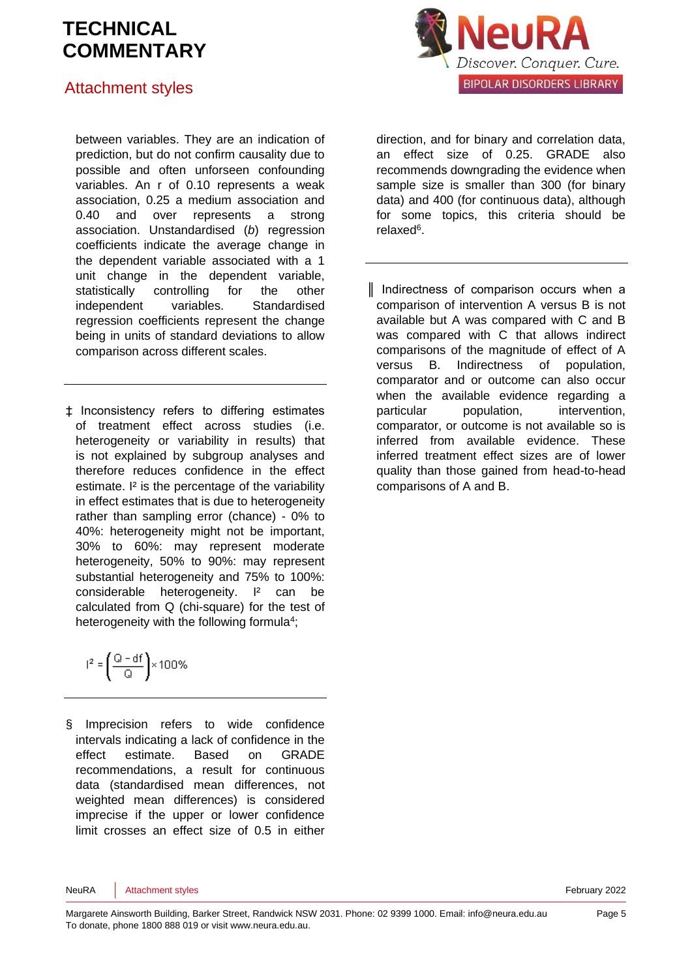## Attachment styles

between variables. They are an indication of prediction, but do not confirm causality due to possible and often unforseen confounding variables. An r of 0.10 represents a weak association, 0.25 a medium association and 0.40 and over represents a strong association. Unstandardised (*b*) regression coefficients indicate the average change in the dependent variable associated with a 1 unit change in the dependent variable, statistically controlling for the other independent variables. Standardised regression coefficients represent the change being in units of standard deviations to allow comparison across different scales.

‡ Inconsistency refers to differing estimates of treatment effect across studies (i.e. heterogeneity or variability in results) that is not explained by subgroup analyses and therefore reduces confidence in the effect estimate. I² is the percentage of the variability in effect estimates that is due to heterogeneity rather than sampling error (chance) - 0% to 40%: heterogeneity might not be important, 30% to 60%: may represent moderate heterogeneity, 50% to 90%: may represent substantial heterogeneity and 75% to 100%: considerable heterogeneity. I² can be calculated from Q (chi-square) for the test of heterogeneity with the following formul[a](#page-5-3)<sup>4</sup>;

$$
I^2=\left(\frac{Q-df}{Q}\right)\times 100\%
$$

§ Imprecision refers to wide confidence intervals indicating a lack of confidence in the effect estimate. Based on GRADE recommendations, a result for continuous data (standardised mean differences, not weighted mean differences) is considered imprecise if the upper or lower confidence limit crosses an effect size of 0.5 in either



relaxe[d](#page-5-5)<sup>6</sup>. ║ Indirectness of comparison occurs when a comparison of intervention A versus B is not available but A was compared with C and B was compared with C that allows indirect comparisons of the magnitude of effect of A versus B. Indirectness of population, comparator and or outcome can also occur when the available evidence regarding a

for some topics, this criteria should be

particular population, intervention, comparator, or outcome is not available so is inferred from available evidence. These inferred treatment effect sizes are of lower quality than those gained from head-to-head comparisons of A and B.

NeuRA Attachment styles **Attachment styles** February 2022